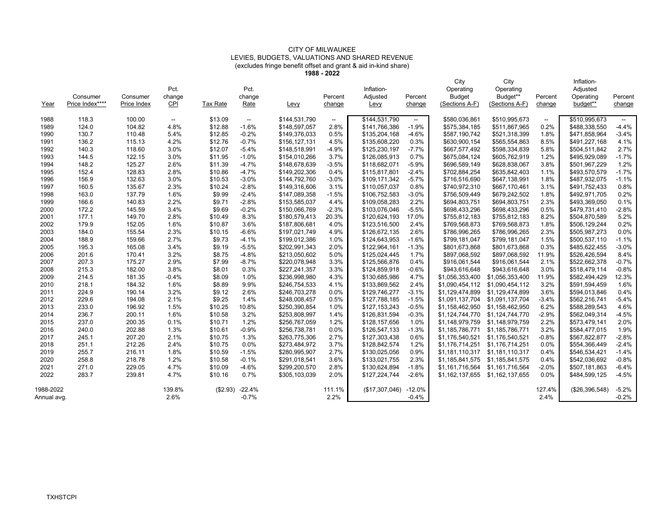## CITY OF MILWAUKEE LEVIES, BUDGETS, VALUATIONS AND SHARED REVENUE (excludes fringe benefit offset and grant & aid in-kind share)

**1988 - 2022**

| Year        | Consumer<br>Price Index**** | Consumer<br>Price Index | Pct.<br>change<br>$CP1$  | <b>Tax Rate</b> | Pct.<br>change<br>Rate   | Levy          | Percent<br>change | Inflation-<br>Adjusted<br>Levy | Percent<br>change        | City<br>Operating<br><b>Budget</b><br>(Sections A-F) | City<br>Operating<br>Budget**<br>(Sections A-F) | Percent<br>change        | Inflation-<br>Adjusted<br>Operating<br>budget** | Percent<br>change        |
|-------------|-----------------------------|-------------------------|--------------------------|-----------------|--------------------------|---------------|-------------------|--------------------------------|--------------------------|------------------------------------------------------|-------------------------------------------------|--------------------------|-------------------------------------------------|--------------------------|
| 1988        | 118.3                       | 100.00                  | $\overline{\phantom{a}}$ | \$13.09         | $\overline{\phantom{a}}$ | \$144,531,790 | --                | \$144,531,790                  | $\overline{\phantom{a}}$ | \$580,036,861                                        | \$510,995,673                                   | $\overline{\phantom{a}}$ | \$510,995,673                                   | $\overline{\phantom{a}}$ |
| 1989        | 124.0                       | 104.82                  | 4.8%                     | \$12.88         | $-1.6%$                  | \$148,597,057 | 2.8%              | \$141,766,386                  | $-1.9%$                  | \$575,384,185                                        | \$511,867,965                                   | 0.2%                     | \$488,338,550                                   | $-4.4%$                  |
| 1990        | 130.7                       | 110.48                  | 5.4%                     | \$12.85         | $-0.2%$                  | \$149,376,033 | 0.5%              | \$135,204,168                  | $-4.6%$                  | \$587,190,742                                        | \$521,318,399                                   | 1.8%                     | \$471,858,964                                   | $-3.4%$                  |
| 1991        | 136.2                       | 115.13                  | 4.2%                     | \$12.76         | $-0.7%$                  | \$156,127,131 | 4.5%              | \$135,608,220                  | 0.3%                     | \$630,900,154                                        | \$565,554,863                                   | 8.5%                     | \$491,227,168                                   | 4.1%                     |
| 1992        | 140.3                       | 118.60                  | 3.0%                     | \$12.07         | $-5.4%$                  | \$148,518,991 | $-4.9%$           | \$125,230,197                  | $-7.7%$                  | \$667,577,492                                        | \$598,334,839                                   | 5.8%                     | \$504,511,842                                   | 2.7%                     |
| 1993        | 144.5                       | 122.15                  | 3.0%                     | \$11.95         | $-1.0%$                  | \$154,010,266 | 3.7%              | \$126,085,913                  | 0.7%                     | \$675,084,124                                        | \$605,762,919                                   | 1.2%                     | \$495,929,089                                   | $-1.7%$                  |
| 1994        | 148.2                       | 125.27                  | 2.6%                     | \$11.39         | $-4.7%$                  | \$148,678,639 | $-3.5%$           | \$118,682,071                  | $-5.9%$                  | \$696,589,149                                        | \$628,838,067                                   | 3.8%                     | \$501,967,229                                   | 1.2%                     |
| 1995        | 152.4                       | 128.83                  | 2.8%                     | \$10.86         | $-4.7%$                  | \$149,202,306 | 0.4%              | \$115,817,801                  | $-2.4%$                  | \$702,884,254                                        | \$635,842,403                                   | 1.1%                     | \$493,570,579                                   | $-1.7%$                  |
| 1996        | 156.9                       | 132.63                  | 3.0%                     | \$10.53         | $-3.0%$                  | \$144,792,760 | $-3.0%$           | \$109,171,342                  | $-5.7%$                  | \$716,516,690                                        | \$647,138,991                                   | 1.8%                     | \$487,932,075                                   | $-1.1%$                  |
| 1997        | 160.5                       | 135.67                  | 2.3%                     | \$10.24         | $-2.8%$                  | \$149,316,606 | 3.1%              | \$110,057,037                  | 0.8%                     | \$740,972,310                                        | \$667,170,461                                   | 3.1%                     | \$491,752,433                                   | 0.8%                     |
| 1998        | 163.0                       | 137.79                  | 1.6%                     | \$9.99          | $-2.4%$                  | \$147,089,358 | $-1.5%$           | \$106,752,583                  | $-3.0%$                  | \$756,509,449                                        | \$679,242,502                                   | 1.8%                     | \$492,971,705                                   | 0.2%                     |
| 1999        | 166.6                       | 140.83                  | 2.2%                     | \$9.71          | $-2.8%$                  | \$153,585,037 | 4.4%              | \$109,058,283                  | 2.2%                     | \$694,803,751                                        | \$694,803,751                                   | 2.3%                     | \$493,369,050                                   | 0.1%                     |
| 2000        | 172.2                       | 145.59                  | 3.4%                     | \$9.69          | $-0.2%$                  | \$150,066,769 | $-2.3%$           | \$103,076,046                  | $-5.5%$                  | \$698,433,296                                        | \$698,433,296                                   | 0.5%                     | \$479,731,410                                   | $-2.8%$                  |
| 2001        | 177.1                       | 149.70                  | 2.8%                     | \$10.49         | 8.3%                     | \$180,579,413 | 20.3%             | \$120,624,193                  | 17.0%                    | \$755,812,183                                        | \$755,812,183                                   | 8.2%                     | \$504,870,589                                   | 5.2%                     |
| 2002        | 179.9                       | 152.05                  | 1.6%                     | \$10.87         | 3.6%                     | \$187,806,681 | 4.0%              | \$123,516,500                  | 2.4%                     | \$769,568,873                                        | \$769,568,873                                   | 1.8%                     | \$506,129,244                                   | 0.2%                     |
| 2003        | 184.0                       | 155.54                  | 2.3%                     | \$10.15         | $-6.6%$                  | \$197,021,749 | 4.9%              | \$126,672,135                  | 2.6%                     | \$786,996,265                                        | \$786,996,265                                   | 2.3%                     | \$505,987,273                                   | 0.0%                     |
| 2004        | 188.9                       | 159.66                  | 2.7%                     | \$9.73          | $-4.1%$                  | \$199,012,386 | 1.0%              | \$124,643,953                  | $-1.6%$                  | \$799,181,047                                        | \$799,181,047                                   | 1.5%                     | \$500,537,110                                   | $-1.1%$                  |
| 2005        | 195.3                       | 165.08                  | 3.4%                     | \$9.19          | $-5.5%$                  | \$202,991,343 | 2.0%              | \$122,964,161                  | $-1.3%$                  | \$801,673,868                                        | \$801,673,868                                   | 0.3%                     | \$485,622,455                                   | $-3.0%$                  |
| 2006        | 201.6                       | 170.41                  | 3.2%                     | \$8.75          | $-4.8%$                  | \$213,050,602 | 5.0%              | \$125,024,445                  | 1.7%                     | \$897,068,592                                        | \$897,068,592                                   | 11.9%                    | \$526,426,594                                   | 8.4%                     |
| 2007        | 207.3                       | 175.27                  | 2.9%                     | \$7.99          | $-8.7%$                  | \$220.078.948 | 3.3%              | \$125,566,876                  | 0.4%                     | \$916,061,544                                        | \$916,061,544                                   | 2.1%                     | \$522,662,378                                   | $-0.7%$                  |
| 2008        | 215.3                       | 182.00                  | 3.8%                     | \$8.01          | 0.3%                     | \$227,241,357 | 3.3%              | \$124,859,918                  | $-0.6%$                  | \$943,616,648                                        | \$943,616,648                                   | 3.0%                     | \$518,479,114                                   | $-0.8%$                  |
| 2009        | 214.5                       | 181.35                  | $-0.4%$                  | \$8.09          | 1.0%                     | \$236,998,980 | 4.3%              | \$130,685,986                  | 4.7%                     | \$1,056,353,400                                      | \$1,056,353,400                                 | 11.9%                    | \$582,494,429                                   | 12.3%                    |
| 2010        | 218.1                       | 184.32                  | 1.6%                     | \$8.89          | 9.9%                     | \$246,754,533 | 4.1%              | \$133,869,562                  | 2.4%                     |                                                      | \$1,090,454,112 \$1,090,454,112                 | 3.2%                     | \$591,594,459                                   | 1.6%                     |
| 2011        | 224.9                       | 190.14                  | 3.2%                     | \$9.12          | 2.6%                     | \$246,703,278 | 0.0%              | \$129,746,277                  | $-3.1%$                  |                                                      | \$1,129,474,899 \$1,129,474,899                 | 3.6%                     | \$594,013,846                                   | 0.4%                     |
| 2012        | 229.6                       | 194.08                  | 2.1%                     | \$9.25          | 1.4%                     | \$248,008,457 | 0.5%              | \$127,788,185                  | $-1.5%$                  |                                                      | \$1,091,137,704 \$1,091,137,704                 | $-3.4%$                  | \$562,216,741                                   | $-5.4%$                  |
| 2013        | 233.0                       | 196.92                  | 1.5%                     | \$10.25         | 10.8%                    | \$250,390,854 | 1.0%              | \$127,153,243                  | $-0.5%$                  |                                                      | \$1,158,462,950 \$1,158,462,950                 | 6.2%                     | \$588,289,543                                   | 4.6%                     |
| 2014        | 236.7                       | 200.11                  | 1.6%                     | \$10.58         | 3.2%                     | \$253,808,997 | 1.4%              | \$126,831,594                  | $-0.3%$                  |                                                      | \$1,124,744,770 \$1,124,744,770                 | $-2.9%$                  | \$562,049,314                                   | $-4.5%$                  |
| 2015        | 237.0                       | 200.35                  | 0.1%                     | \$10.71         | 1.2%                     | \$256,767,059 | 1.2%              | \$128,157,656                  | 1.0%                     |                                                      | \$1,148,979,759 \$1,148,979,759                 | 2.2%                     | \$573,479,141                                   | 2.0%                     |
| 2016        | 240.0                       | 202.88                  | 1.3%                     | \$10.61         | $-0.9%$                  | \$256,738,781 | 0.0%              | \$126,547,133                  | $-1.3%$                  |                                                      | \$1,185,786,771 \$1,185,786,771                 | 3.2%                     | \$584,477,015                                   | 1.9%                     |
| 2017        | 245.1                       | 207.20                  | 2.1%                     | \$10.75         | 1.3%                     | \$263,775,306 | 2.7%              | \$127,303,438                  | 0.6%                     | \$1,176,540,521                                      | \$1,176,540,521                                 | $-0.8%$                  | \$567,822,877                                   | $-2.8%$                  |
| 2018        | 251.1                       | 212.26                  | 2.4%                     | \$10.75         | 0.0%                     | \$273,484,972 | 3.7%              | \$128,842,574                  | 1.2%                     | \$1,176,714,251                                      | \$1,176,714,251                                 | 0.0%                     | \$554,366,449                                   | $-2.4%$                  |
| 2019        | 255.7                       | 216.11                  | 1.8%                     | \$10.59         | $-1.5%$                  | \$280,995,907 | 2.7%              | \$130,025,056                  | 0.9%                     |                                                      | \$1,181,110,317 \$1,181,110,317                 | 0.4%                     | \$546,534,421                                   | $-1.4%$                  |
| 2020        | 258.8                       | 218.78                  | 1.2%                     | \$10.58         | $-0.1%$                  | \$291,018,541 | 3.6%              | \$133,021,755                  | 2.3%                     |                                                      | \$1,185,841,575 \$1,185,841,575                 | 0.4%                     | \$542,036,692                                   | $-0.8%$                  |
| 2021        | 271.0                       | 229.05                  | 4.7%                     | \$10.09         | $-4.6%$                  | \$299,200,570 | 2.8%              | \$130,624,894                  | $-1.8%$                  | \$1,161,716,564                                      | \$1,161,716,564                                 | $-2.0%$                  | \$507,181,863                                   | $-6.4%$                  |
| 2022        | 283.7                       | 239.81                  | 4.7%                     | \$10.16         | 0.7%                     | \$305,103,039 | 2.0%              | \$127,224,744                  | $-2.6%$                  |                                                      | \$1,162,137,655 \$1,162,137,655                 | 0.0%                     | \$484,599,125                                   | $-4.5%$                  |
| 1988-2022   |                             |                         | 139.8%                   | (\$2.93)        | $-22.4%$                 |               | 111.1%            | (\$17,307,046)                 | $-12.0%$                 |                                                      |                                                 | 127.4%                   | (\$26,396,548)                                  | $-5.2%$                  |
| Annual avg. |                             |                         | 2.6%                     |                 | $-0.7%$                  |               | 2.2%              |                                | $-0.4%$                  |                                                      |                                                 | 2.4%                     |                                                 | $-0.2%$                  |